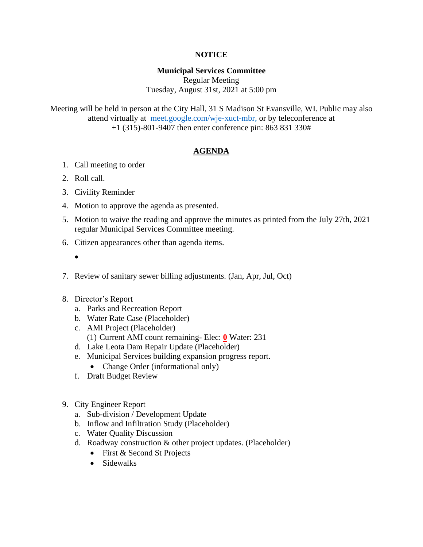# **NOTICE**

# **Municipal Services Committee**

Regular Meeting Tuesday, August 31st, 2021 at 5:00 pm

Meeting will be held in person at the City Hall, 31 S Madison St Evansville, WI. Public may also attend virtually at [meet.google.com/wje-xuct-mbr,](meet.google.com/wje-xuct-mbr) or by teleconference at +1 (315)-801-9407 then enter conference pin: 863 831 330#

# **AGENDA**

- 1. Call meeting to order
- 2. Roll call.
- 3. Civility Reminder
- 4. Motion to approve the agenda as presented.
- 5. Motion to waive the reading and approve the minutes as printed from the July 27th, 2021 regular Municipal Services Committee meeting.
- 6. Citizen appearances other than agenda items.
	- •
- 7. Review of sanitary sewer billing adjustments. (Jan, Apr, Jul, Oct)
- 8. Director's Report
	- a. Parks and Recreation Report
	- b. Water Rate Case (Placeholder)
	- c. AMI Project (Placeholder)
		- (1) Current AMI count remaining- Elec: **0** Water: 231
	- d. Lake Leota Dam Repair Update (Placeholder)
	- e. Municipal Services building expansion progress report.
		- Change Order (informational only)
	- f. Draft Budget Review
- 9. City Engineer Report
	- a. Sub-division / Development Update
	- b. Inflow and Infiltration Study (Placeholder)
	- c. Water Quality Discussion
	- d. Roadway construction & other project updates. (Placeholder)
		- First & Second St Projects
		- Sidewalks